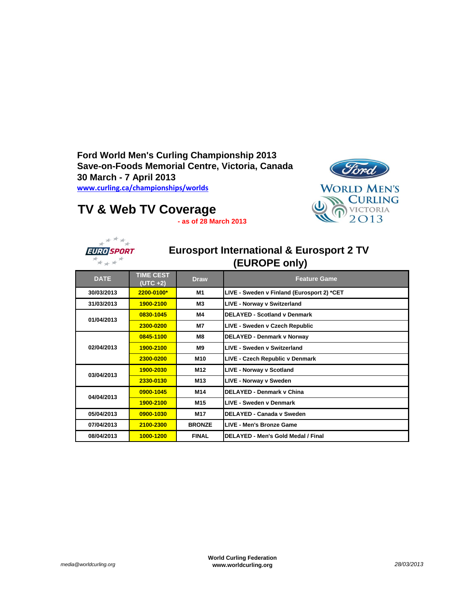**Ford World Men's Curling Championship 2013 Save-on-Foods Memorial Centre, Victoria, Canada 30 March - 7 April 2013 [www.curling.ca](http://www.curling.ca/championships/worlds)/championships/worlds**



## **TV & Web TV Coverage**

**- as of 28 March 2013**



## **Eurosport International & Eurosport 2 TV (EUROPE only)**

| <b>DATE</b> | <b>TIME CEST</b><br>$(UTC + 2)$ | <b>Draw</b>     | <b>Feature Game</b>                        |
|-------------|---------------------------------|-----------------|--------------------------------------------|
| 30/03/2013  | 2200-0100*                      | M1              | LIVE - Sweden v Finland (Eurosport 2) *CET |
| 31/03/2013  | 1900-2100                       | Μ3              | LIVE - Norway v Switzerland                |
| 01/04/2013  | 0830-1045                       | M4              | <b>DELAYED - Scotland v Denmark</b>        |
|             | 2300-0200                       | M7              | LIVE - Sweden v Czech Republic             |
| 02/04/2013  | 0845-1100                       | M8              | DELAYED - Denmark v Norway                 |
|             | 1900-2100                       | <b>M9</b>       | LIVE - Sweden v Switzerland                |
|             | 2300-0200                       | M10             | LIVE - Czech Republic v Denmark            |
| 03/04/2013  | 1900-2030                       | M <sub>12</sub> | <b>LIVE - Norway v Scotland</b>            |
|             | 2330-0130                       | M13             | LIVE - Norway v Sweden                     |
| 04/04/2013  | 0900-1045                       | M14             | <b>DELAYED - Denmark v China</b>           |
|             | 1900-2100                       | M15             | <b>LIVE - Sweden v Denmark</b>             |
| 05/04/2013  | 0900-1030                       | M17             | DELAYED - Canada v Sweden                  |
| 07/04/2013  | 2100-2300                       | <b>BRONZE</b>   | LIVE - Men's Bronze Game                   |
| 08/04/2013  | 1000-1200                       | <b>FINAL</b>    | DELAYED - Men's Gold Medal / Final         |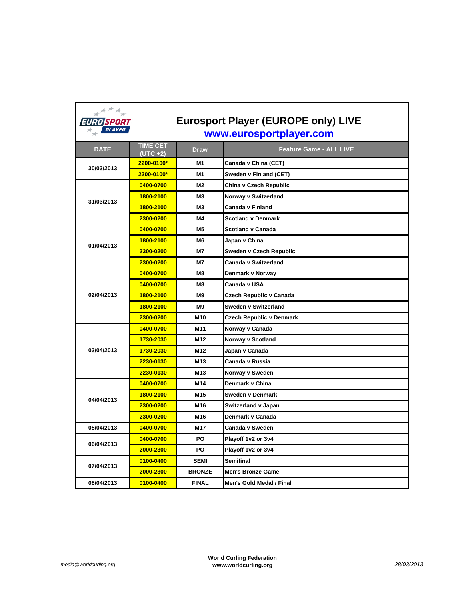| ≭ <sup>≭≭</sup> ≭<br>EURO SPORT | <b>Eurosport Player (EUROPE only) LIVE</b> |                 |                                |  |  |
|---------------------------------|--------------------------------------------|-----------------|--------------------------------|--|--|
| <b>PLAYER</b>                   | www.eurosportplayer.com                    |                 |                                |  |  |
| <b>DATE</b>                     | <b>TIME CET</b><br>$(UTC + 2)$             | <b>Draw</b>     | <b>Feature Game - ALL LIVE</b> |  |  |
|                                 | 2200-0100*                                 | M1              | Canada v China (CET)           |  |  |
| 30/03/2013                      | 2200-0100*                                 | M <sub>1</sub>  | Sweden v Finland (CET)         |  |  |
|                                 | 0400-0700                                  | M <sub>2</sub>  | China v Czech Republic         |  |  |
| 31/03/2013                      | 1800-2100                                  | M3              | Norway v Switzerland           |  |  |
|                                 | 1800-2100                                  | M <sub>3</sub>  | Canada v Finland               |  |  |
|                                 | 2300-0200                                  | M4              | <b>Scotland v Denmark</b>      |  |  |
|                                 | 0400-0700                                  | <b>M5</b>       | Scotland v Canada              |  |  |
| 01/04/2013                      | 1800-2100                                  | M <sub>6</sub>  | Japan v China                  |  |  |
|                                 | 2300-0200                                  | <b>M7</b>       | Sweden v Czech Republic        |  |  |
|                                 | 2300-0200                                  | <b>M7</b>       | Canada v Switzerland           |  |  |
|                                 | 0400-0700                                  | M8              | Denmark v Norway               |  |  |
|                                 | 0400-0700                                  | M <sub>8</sub>  | Canada v USA                   |  |  |
| 02/04/2013                      | 1800-2100                                  | M <sub>9</sub>  | Czech Republic v Canada        |  |  |
|                                 | 1800-2100                                  | M <sub>9</sub>  | Sweden v Switzerland           |  |  |
|                                 | 2300-0200                                  | M <sub>10</sub> | Czech Republic v Denmark       |  |  |
|                                 | 0400-0700                                  | M11             | Norway v Canada                |  |  |
|                                 | 1730-2030                                  | M12             | Norway v Scotland              |  |  |
| 03/04/2013                      | 1730-2030                                  | M <sub>12</sub> | Japan v Canada                 |  |  |
|                                 | 2230-0130                                  | M <sub>13</sub> | Canada v Russia                |  |  |
|                                 | 2230-0130                                  | M <sub>13</sub> | Norway v Sweden                |  |  |
|                                 | 0400-0700                                  | M14             | Denmark v China                |  |  |
| 04/04/2013                      | 1800-2100                                  | M <sub>15</sub> | Sweden v Denmark               |  |  |
|                                 | 2300-0200                                  | M16             | Switzerland v Japan            |  |  |
|                                 | 2300-0200                                  | M16             | Denmark v Canada               |  |  |
| 05/04/2013                      | 0400-0700                                  | M <sub>17</sub> | Canada v Sweden                |  |  |
| 06/04/2013                      | 0400-0700                                  | PO              | Playoff 1v2 or 3v4             |  |  |
|                                 | 2000-2300                                  | PO              | Playoff 1v2 or 3v4             |  |  |
| 07/04/2013                      | 0100-0400                                  | <b>SEMI</b>     | Semifinal                      |  |  |
|                                 | 2000-2300                                  | <b>BRONZE</b>   | <b>Men's Bronze Game</b>       |  |  |
| 08/04/2013                      | 0100-0400                                  | <b>FINAL</b>    | Men's Gold Medal / Final       |  |  |

## *media@worldcurling.org*

r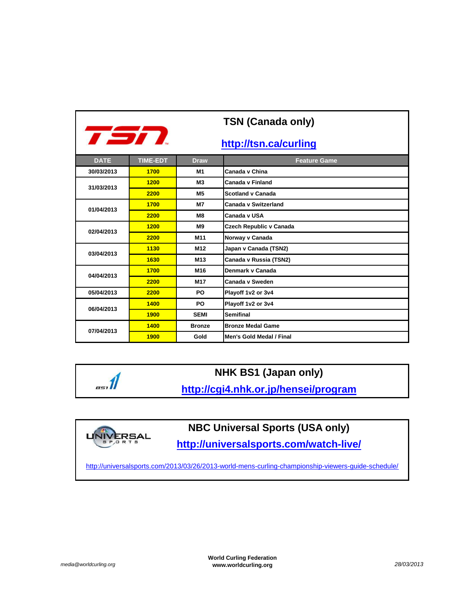| <b>TSN (Canada only)</b>      |                 |                 |                          |  |  |  |
|-------------------------------|-----------------|-----------------|--------------------------|--|--|--|
| TSN.<br>http://tsn.ca/curling |                 |                 |                          |  |  |  |
| <b>DATE</b>                   | <b>TIME-EDT</b> | <b>Draw</b>     | <b>Feature Game</b>      |  |  |  |
| 30/03/2013                    | 1700            | M <sub>1</sub>  | Canada y China           |  |  |  |
| 31/03/2013                    | 1200            | <b>M3</b>       | Canada v Finland         |  |  |  |
|                               | 2200            | <b>M5</b>       | <b>Scotland v Canada</b> |  |  |  |
| 01/04/2013                    | 1700            | <b>M7</b>       | Canada v Switzerland     |  |  |  |
|                               | 2200            | M8              | Canada v USA             |  |  |  |
| 02/04/2013                    | 1200            | M <sub>9</sub>  | Czech Republic v Canada  |  |  |  |
|                               | 2200            | M <sub>11</sub> | Norway v Canada          |  |  |  |
| 03/04/2013                    | 1130            | M <sub>12</sub> | Japan v Canada (TSN2)    |  |  |  |
|                               | 1630            | M <sub>13</sub> | Canada v Russia (TSN2)   |  |  |  |
| 04/04/2013                    | 1700            | M <sub>16</sub> | Denmark v Canada         |  |  |  |
|                               | 2200            | M <sub>17</sub> | Canada v Sweden          |  |  |  |
| 05/04/2013                    | 2200            | PO              | Playoff 1v2 or 3v4       |  |  |  |
| 06/04/2013                    | 1400            | PO              | Playoff 1v2 or 3v4       |  |  |  |
|                               | 1900            | <b>SEMI</b>     | <b>Semifinal</b>         |  |  |  |
| 07/04/2013                    | 1400            | <b>Bronze</b>   | <b>Bronze Medal Game</b> |  |  |  |
|                               | 1900            | Gold            | Men's Gold Medal / Final |  |  |  |





 $\mathbb{R}$ 

**NBC Universal Sports (USA only)**

**http://universalsports.com/watch-live/**

[http://universa](http://universalsports.com/2013/03/26/2013-world-mens-curling-championship-viewers-guide-schedule/)lsports.com/2013/03/26/2013-world-mens-curling-championship-viewers-guide-schedule/